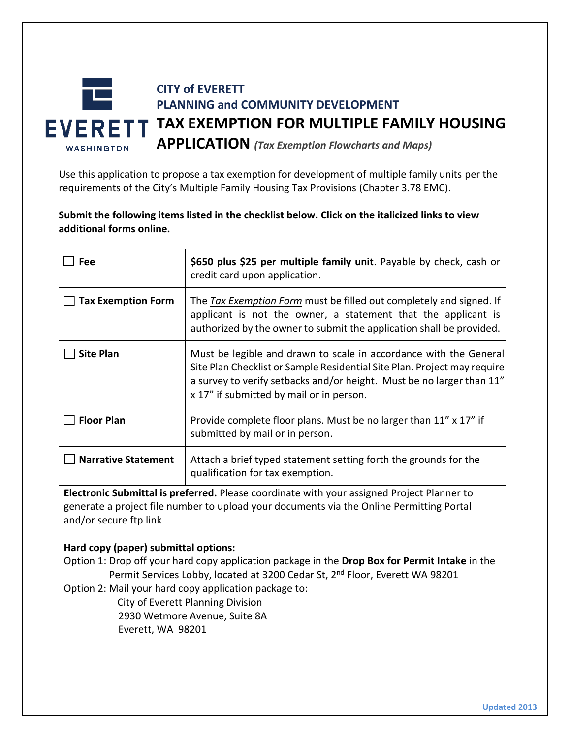

Use this application to propose a tax exemption for development of multiple family units per the requirements of the City's Multiple Family Housing Tax Provisions (Chapter 3.78 EMC).

**Submit the following items listed in the checklist below. Click on the italicized links to view additional forms online.**

| Fee                        | \$650 plus \$25 per multiple family unit. Payable by check, cash or<br>credit card upon application.                                                                                                                                                               |
|----------------------------|--------------------------------------------------------------------------------------------------------------------------------------------------------------------------------------------------------------------------------------------------------------------|
| <b>Tax Exemption Form</b>  | The Tax Exemption Form must be filled out completely and signed. If<br>applicant is not the owner, a statement that the applicant is<br>authorized by the owner to submit the application shall be provided.                                                       |
| <b>Site Plan</b>           | Must be legible and drawn to scale in accordance with the General<br>Site Plan Checklist or Sample Residential Site Plan. Project may require<br>a survey to verify setbacks and/or height. Must be no larger than 11"<br>x 17" if submitted by mail or in person. |
| <b>Floor Plan</b>          | Provide complete floor plans. Must be no larger than 11" x 17" if<br>submitted by mail or in person.                                                                                                                                                               |
| <b>Narrative Statement</b> | Attach a brief typed statement setting forth the grounds for the<br>qualification for tax exemption.                                                                                                                                                               |

**Electronic Submittal is preferred.** Please coordinate with your assigned Project Planner to generate a project file number to upload your documents via the Online Permitting Portal and/or secure ftp link

## **Hard copy (paper) submittal options:**

Option 1: Drop off your hard copy application package in the **Drop Box for Permit Intake** in the Permit Services Lobby, located at 3200 Cedar St, 2<sup>nd</sup> Floor, Everett WA 98201

Option 2: Mail your hard copy application package to:

City of Everett Planning Division 2930 Wetmore Avenue, Suite 8A Everett, WA 98201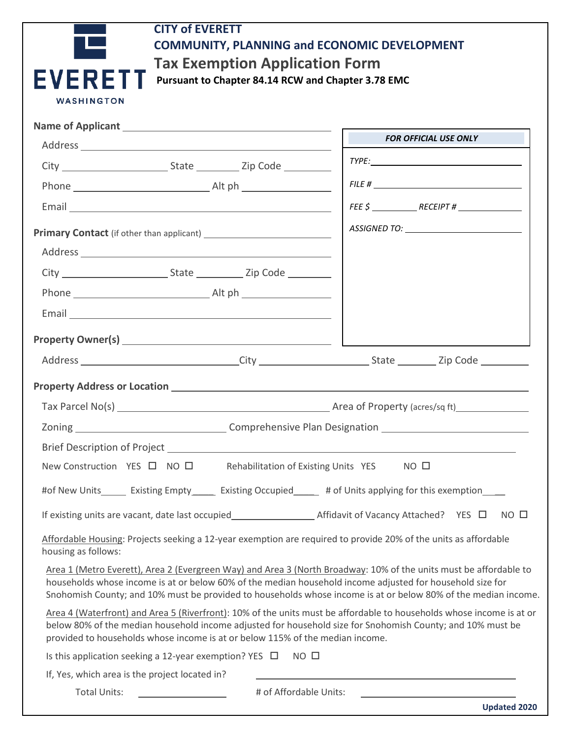| <b>CITY of EVERETT</b>                                                                                                                                                                                                                                                                                                                           |                                                           |
|--------------------------------------------------------------------------------------------------------------------------------------------------------------------------------------------------------------------------------------------------------------------------------------------------------------------------------------------------|-----------------------------------------------------------|
| <b>COMMUNITY, PLANNING and ECONOMIC DEVELOPMENT</b>                                                                                                                                                                                                                                                                                              |                                                           |
| <b>Tax Exemption Application Form</b>                                                                                                                                                                                                                                                                                                            |                                                           |
| <b>EVERF</b><br>Pursuant to Chapter 84.14 RCW and Chapter 3.78 EMC                                                                                                                                                                                                                                                                               |                                                           |
| <b>WASHINGTON</b>                                                                                                                                                                                                                                                                                                                                |                                                           |
|                                                                                                                                                                                                                                                                                                                                                  |                                                           |
|                                                                                                                                                                                                                                                                                                                                                  | FOR OFFICIAL USE ONLY                                     |
|                                                                                                                                                                                                                                                                                                                                                  | TYPE: TYPE:                                               |
|                                                                                                                                                                                                                                                                                                                                                  | FILE #                                                    |
|                                                                                                                                                                                                                                                                                                                                                  |                                                           |
|                                                                                                                                                                                                                                                                                                                                                  |                                                           |
|                                                                                                                                                                                                                                                                                                                                                  |                                                           |
|                                                                                                                                                                                                                                                                                                                                                  |                                                           |
|                                                                                                                                                                                                                                                                                                                                                  |                                                           |
|                                                                                                                                                                                                                                                                                                                                                  |                                                           |
|                                                                                                                                                                                                                                                                                                                                                  |                                                           |
|                                                                                                                                                                                                                                                                                                                                                  | <u> 1980 - Johann Barnett, fransk politiker (d. 1980)</u> |
|                                                                                                                                                                                                                                                                                                                                                  |                                                           |
|                                                                                                                                                                                                                                                                                                                                                  |                                                           |
|                                                                                                                                                                                                                                                                                                                                                  |                                                           |
|                                                                                                                                                                                                                                                                                                                                                  |                                                           |
|                                                                                                                                                                                                                                                                                                                                                  |                                                           |
| New Construction YES $\Box$ NO $\Box$<br>Rehabilitation of Existing Units YES                                                                                                                                                                                                                                                                    | NO <sub>0</sub>                                           |
| #of New Units_external Existing Empty_exterion Existing Occupied_external and Thits applying for this exemption                                                                                                                                                                                                                                  |                                                           |
|                                                                                                                                                                                                                                                                                                                                                  | $NO$ $\square$                                            |
| Affordable Housing: Projects seeking a 12-year exemption are required to provide 20% of the units as affordable<br>housing as follows:                                                                                                                                                                                                           |                                                           |
| Area 1 (Metro Everett), Area 2 (Evergreen Way) and Area 3 (North Broadway: 10% of the units must be affordable to<br>households whose income is at or below 60% of the median household income adjusted for household size for<br>Snohomish County; and 10% must be provided to households whose income is at or below 80% of the median income. |                                                           |
| Area 4 (Waterfront) and Area 5 (Riverfront): 10% of the units must be affordable to households whose income is at or<br>below 80% of the median household income adjusted for household size for Snohomish County; and 10% must be<br>provided to households whose income is at or below 115% of the median income.                              |                                                           |
| Is this application seeking a 12-year exemption? YES $\Box$ NO $\Box$                                                                                                                                                                                                                                                                            |                                                           |
| If, Yes, which area is the project located in?                                                                                                                                                                                                                                                                                                   |                                                           |
| # of Affordable Units:<br><b>Total Units:</b>                                                                                                                                                                                                                                                                                                    |                                                           |

|  |  | <b>Updated 2020</b> |
|--|--|---------------------|
|--|--|---------------------|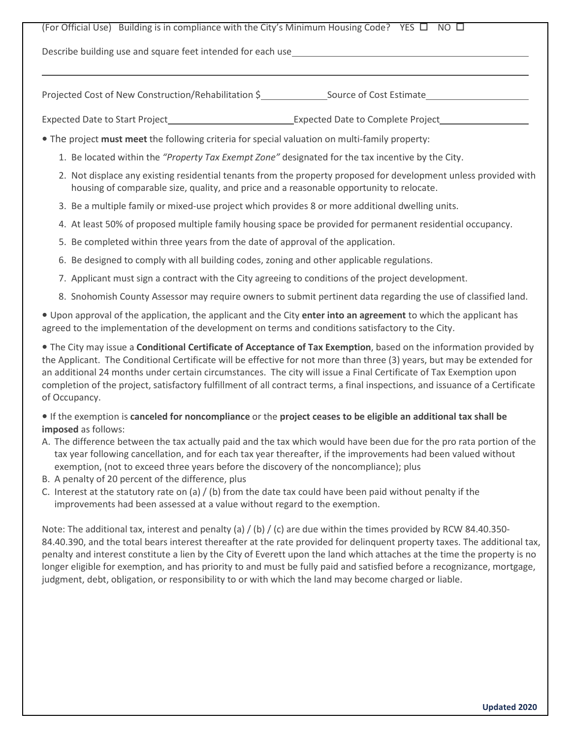## (For Official Use) Building is in compliance with the City's Minimum Housing Code? YES  $\Box$  NO  $\Box$

Describe building use and square feet intended for each use

 $\overline{a}$ 

Projected Cost of New Construction/Rehabilitation \$ Source of Cost Estimate

Expected Date to Start Project **Expected Date to Complete Project** 

- The project **must meet** the following criteria for special valuation on multi-family property:
	- 1. Be located within the *"Property Tax Exempt Zone"* designated for the tax incentive by the City.
	- 2. Not displace any existing residential tenants from the property proposed for development unless provided with housing of comparable size, quality, and price and a reasonable opportunity to relocate.
	- 3. Be a multiple family or mixed-use project which provides 8 or more additional dwelling units.
	- 4. At least 50% of proposed multiple family housing space be provided for permanent residential occupancy.
	- 5. Be completed within three years from the date of approval of the application.
	- 6. Be designed to comply with all building codes, zoning and other applicable regulations.
	- 7. Applicant must sign a contract with the City agreeing to conditions of the project development.
	- 8. Snohomish County Assessor may require owners to submit pertinent data regarding the use of classified land.

**•** Upon approval of the application, the applicant and the City **enter into an agreement** to which the applicant has agreed to the implementation of the development on terms and conditions satisfactory to the City.

**•** The City may issue a **Conditional Certificate of Acceptance of Tax Exemption**, based on the information provided by the Applicant. The Conditional Certificate will be effective for not more than three (3) years, but may be extended for an additional 24 months under certain circumstances. The city will issue a Final Certificate of Tax Exemption upon completion of the project, satisfactory fulfillment of all contract terms, a final inspections, and issuance of a Certificate of Occupancy.

**•** If the exemption is **canceled for noncompliance** or the **project ceases to be eligible an additional tax shall be imposed** as follows:

- A. The difference between the tax actually paid and the tax which would have been due for the pro rata portion of the tax year following cancellation, and for each tax year thereafter, if the improvements had been valued without exemption, (not to exceed three years before the discovery of the noncompliance); plus
- B. A penalty of 20 percent of the difference, plus
- C. Interest at the statutory rate on (a) / (b) from the date tax could have been paid without penalty if the improvements had been assessed at a value without regard to the exemption.

Note: The additional tax, interest and penalty (a) / (b) / (c) are due within the times provided by RCW 84.40.350-84.40.390, and the total bears interest thereafter at the rate provided for delinquent property taxes. The additional tax, penalty and interest constitute a lien by the City of Everett upon the land which attaches at the time the property is no longer eligible for exemption, and has priority to and must be fully paid and satisfied before a recognizance, mortgage, judgment, debt, obligation, or responsibility to or with which the land may become charged or liable.